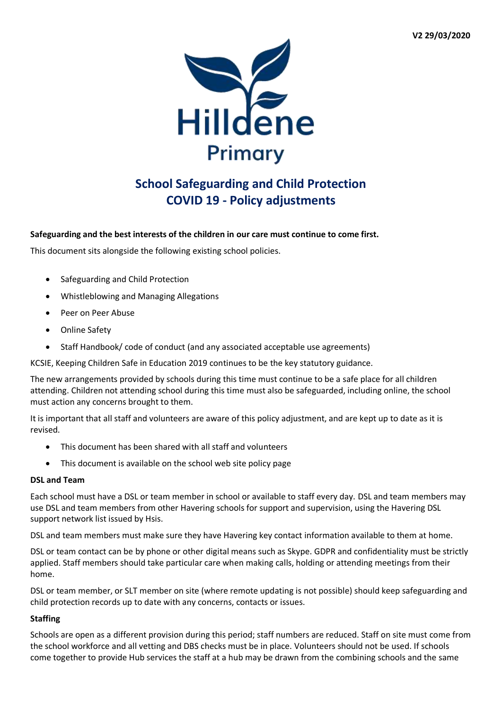

# **School Safeguarding and Child Protection COVID 19 - Policy adjustments**

# **Safeguarding and the best interests of the children in our care must continue to come first.**

This document sits alongside the following existing school policies.

- Safeguarding and Child Protection
- Whistleblowing and Managing Allegations
- Peer on Peer Abuse
- **•** Online Safety
- Staff Handbook/ code of conduct (and any associated acceptable use agreements)

KCSIE, Keeping Children Safe in Education 2019 continues to be the key statutory guidance.

The new arrangements provided by schools during this time must continue to be a safe place for all children attending. Children not attending school during this time must also be safeguarded, including online, the school must action any concerns brought to them.

It is important that all staff and volunteers are aware of this policy adjustment, and are kept up to date as it is revised.

- This document has been shared with all staff and volunteers
- This document is available on the school web site policy page

## **DSL and Team**

Each school must have a DSL or team member in school or available to staff every day. DSL and team members may use DSL and team members from other Havering schools for support and supervision, using the Havering DSL support network list issued by Hsis.

DSL and team members must make sure they have Havering key contact information available to them at home.

DSL or team contact can be by phone or other digital means such as Skype. GDPR and confidentiality must be strictly applied. Staff members should take particular care when making calls, holding or attending meetings from their home.

DSL or team member, or SLT member on site (where remote updating is not possible) should keep safeguarding and child protection records up to date with any concerns, contacts or issues.

## **Staffing**

Schools are open as a different provision during this period; staff numbers are reduced. Staff on site must come from the school workforce and all vetting and DBS checks must be in place. Volunteers should not be used. If schools come together to provide Hub services the staff at a hub may be drawn from the combining schools and the same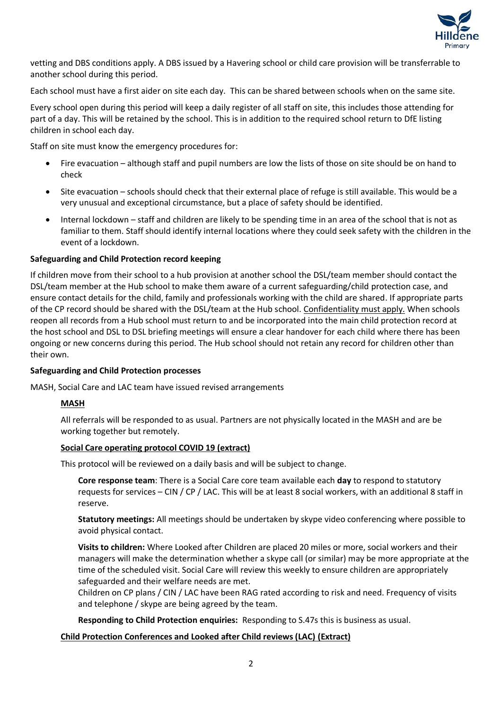

vetting and DBS conditions apply. A DBS issued by a Havering school or child care provision will be transferrable to another school during this period.

Each school must have a first aider on site each day. This can be shared between schools when on the same site.

Every school open during this period will keep a daily register of all staff on site, this includes those attending for part of a day. This will be retained by the school. This is in addition to the required school return to DfE listing children in school each day.

Staff on site must know the emergency procedures for:

- Fire evacuation although staff and pupil numbers are low the lists of those on site should be on hand to check
- Site evacuation schools should check that their external place of refuge is still available. This would be a very unusual and exceptional circumstance, but a place of safety should be identified.
- Internal lockdown staff and children are likely to be spending time in an area of the school that is not as familiar to them. Staff should identify internal locations where they could seek safety with the children in the event of a lockdown.

## **Safeguarding and Child Protection record keeping**

If children move from their school to a hub provision at another school the DSL/team member should contact the DSL/team member at the Hub school to make them aware of a current safeguarding/child protection case, and ensure contact details for the child, family and professionals working with the child are shared. If appropriate parts of the CP record should be shared with the DSL/team at the Hub school. Confidentiality must apply. When schools reopen all records from a Hub school must return to and be incorporated into the main child protection record at the host school and DSL to DSL briefing meetings will ensure a clear handover for each child where there has been ongoing or new concerns during this period. The Hub school should not retain any record for children other than their own.

## **Safeguarding and Child Protection processes**

MASH, Social Care and LAC team have issued revised arrangements

# **MASH**

All referrals will be responded to as usual. Partners are not physically located in the MASH and are be working together but remotely.

## **Social Care operating protocol COVID 19 (extract)**

This protocol will be reviewed on a daily basis and will be subject to change.

**Core response team**: There is a Social Care core team available each **day** to respond to statutory requests for services – CIN / CP / LAC. This will be at least 8 social workers, with an additional 8 staff in reserve.

**Statutory meetings:** All meetings should be undertaken by skype video conferencing where possible to avoid physical contact.

**Visits to children:** Where Looked after Children are placed 20 miles or more, social workers and their managers will make the determination whether a skype call (or similar) may be more appropriate at the time of the scheduled visit. Social Care will review this weekly to ensure children are appropriately safeguarded and their welfare needs are met.

Children on CP plans / CIN / LAC have been RAG rated according to risk and need. Frequency of visits and telephone / skype are being agreed by the team.

**Responding to Child Protection enquiries:** Responding to S.47s this is business as usual.

## **Child Protection Conferences and Looked after Child reviews (LAC) (Extract)**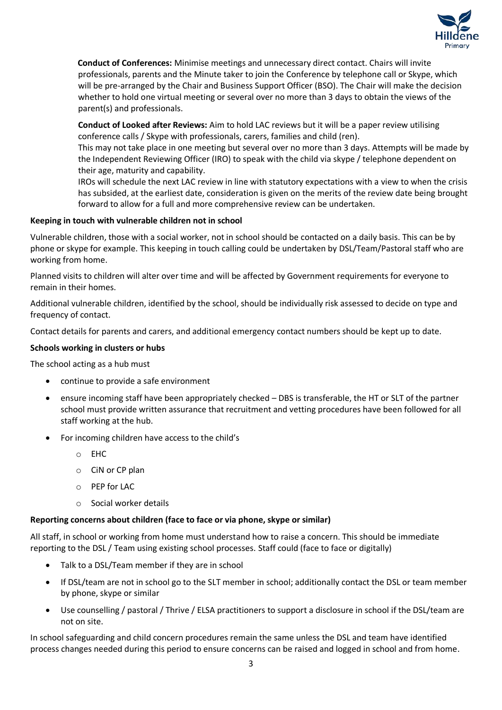

**Conduct of Conferences:** Minimise meetings and unnecessary direct contact. Chairs will invite professionals, parents and the Minute taker to join the Conference by telephone call or Skype, which will be pre-arranged by the Chair and Business Support Officer (BSO). The Chair will make the decision whether to hold one virtual meeting or several over no more than 3 days to obtain the views of the parent(s) and professionals.

**Conduct of Looked after Reviews:** Aim to hold LAC reviews but it will be a paper review utilising conference calls / Skype with professionals, carers, families and child (ren).

This may not take place in one meeting but several over no more than 3 days. Attempts will be made by the Independent Reviewing Officer (IRO) to speak with the child via skype / telephone dependent on their age, maturity and capability.

IROs will schedule the next LAC review in line with statutory expectations with a view to when the crisis has subsided, at the earliest date, consideration is given on the merits of the review date being brought forward to allow for a full and more comprehensive review can be undertaken.

# **Keeping in touch with vulnerable children not in school**

Vulnerable children, those with a social worker, not in school should be contacted on a daily basis. This can be by phone or skype for example. This keeping in touch calling could be undertaken by DSL/Team/Pastoral staff who are working from home.

Planned visits to children will alter over time and will be affected by Government requirements for everyone to remain in their homes.

Additional vulnerable children, identified by the school, should be individually risk assessed to decide on type and frequency of contact.

Contact details for parents and carers, and additional emergency contact numbers should be kept up to date.

## **Schools working in clusters or hubs**

The school acting as a hub must

- continue to provide a safe environment
- ensure incoming staff have been appropriately checked DBS is transferable, the HT or SLT of the partner school must provide written assurance that recruitment and vetting procedures have been followed for all staff working at the hub.
- For incoming children have access to the child's
	- o EHC
	- o CiN or CP plan
	- o PEP for LAC
	- o Social worker details

## **Reporting concerns about children (face to face or via phone, skype or similar)**

All staff, in school or working from home must understand how to raise a concern. This should be immediate reporting to the DSL / Team using existing school processes. Staff could (face to face or digitally)

- Talk to a DSL/Team member if they are in school
- If DSL/team are not in school go to the SLT member in school; additionally contact the DSL or team member by phone, skype or similar
- Use counselling / pastoral / Thrive / ELSA practitioners to support a disclosure in school if the DSL/team are not on site.

In school safeguarding and child concern procedures remain the same unless the DSL and team have identified process changes needed during this period to ensure concerns can be raised and logged in school and from home.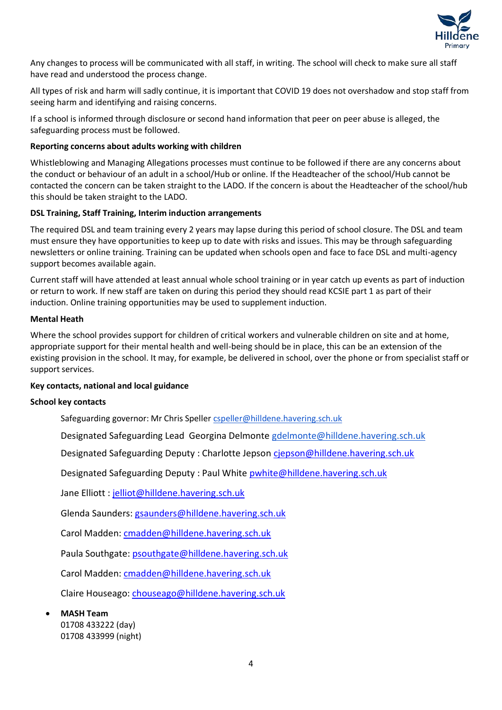

Any changes to process will be communicated with all staff, in writing. The school will check to make sure all staff have read and understood the process change.

All types of risk and harm will sadly continue, it is important that COVID 19 does not overshadow and stop staff from seeing harm and identifying and raising concerns.

If a school is informed through disclosure or second hand information that peer on peer abuse is alleged, the safeguarding process must be followed.

## **Reporting concerns about adults working with children**

Whistleblowing and Managing Allegations processes must continue to be followed if there are any concerns about the conduct or behaviour of an adult in a school/Hub or online. If the Headteacher of the school/Hub cannot be contacted the concern can be taken straight to the LADO. If the concern is about the Headteacher of the school/hub this should be taken straight to the LADO.

## **DSL Training, Staff Training, Interim induction arrangements**

The required DSL and team training every 2 years may lapse during this period of school closure. The DSL and team must ensure they have opportunities to keep up to date with risks and issues. This may be through safeguarding newsletters or online training. Training can be updated when schools open and face to face DSL and multi-agency support becomes available again.

Current staff will have attended at least annual whole school training or in year catch up events as part of induction or return to work. If new staff are taken on during this period they should read KCSIE part 1 as part of their induction. Online training opportunities may be used to supplement induction.

## **Mental Heath**

Where the school provides support for children of critical workers and vulnerable children on site and at home, appropriate support for their mental health and well-being should be in place, this can be an extension of the existing provision in the school. It may, for example, be delivered in school, over the phone or from specialist staff or support services.

## **Key contacts, national and local guidance**

## **School key contacts**

Safeguarding governor: Mr Chris Spelle[r cspeller@hilldene.havering.sch.uk](mailto:cspeller@hilldene.havering.sch.uk)

Designated Safeguarding Lead Georgina Delmonte [gdelmonte@hilldene.havering.sch.uk](mailto:gdelmonte@hilldene.havering.sch.uk)

Designated Safeguarding Deputy : Charlotte Jepson [cjepson@hilldene.havering.sch.uk](mailto:cjepson@hilldene.havering.sch.uk)

Designated Safeguarding Deputy : Paul White [pwhite@hilldene.havering.sch.uk](mailto:pwhite@hilldene.havering.sch.uk)

Jane Elliott : [jelliot@hilldene.havering.sch.uk](mailto:jelliot@hilldene.havering.sch.uk)

Glenda Saunders: [gsaunders@hilldene.havering.sch.uk](mailto:gsaunders@hilldene.havering.sch.uk)

Carol Madden: [cmadden@hilldene.havering.sch.uk](mailto:cmadden@hilldene.havering.sch.uk)

Paula Southgate: [psouthgate@hilldene.havering.sch.uk](mailto:psouthgate@hilldene.havering.sch.uk)

Carol Madden: [cmadden@hilldene.havering.sch.uk](mailto:cmadden@hilldene.havering.sch.uk)

Claire Houseago: [chouseago@hilldene.havering.sch.uk](mailto:chouseago@hilldene.havering.sch.uk)

**MASH Team** 

01708 433222 (day) 01708 433999 (night)